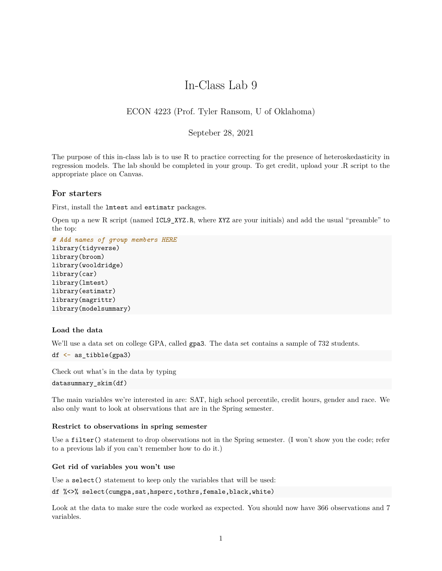# In-Class Lab 9

## ECON 4223 (Prof. Tyler Ransom, U of Oklahoma)

## Septeber 28, 2021

The purpose of this in-class lab is to use R to practice correcting for the presence of heteroskedasticity in regression models. The lab should be completed in your group. To get credit, upload your .R script to the appropriate place on Canvas.

## **For starters**

First, install the lmtest and estimatr packages.

Open up a new R script (named ICL9\_XYZ.R, where XYZ are your initials) and add the usual "preamble" to the top:

*# Add names of group members HERE* library(tidyverse) library(broom) library(wooldridge) library(car) library(lmtest) library(estimatr) library(magrittr) library(modelsummary)

## **Load the data**

We'll use a data set on college GPA, called gpa3. The data set contains a sample of 732 students.

```
df <- as_tibble(gpa3)
```
Check out what's in the data by typing

```
datasummary_skim(df)
```
The main variables we're interested in are: SAT, high school percentile, credit hours, gender and race. We also only want to look at observations that are in the Spring semester.

## **Restrict to observations in spring semester**

Use a filter() statement to drop observations not in the Spring semester. (I won't show you the code; refer to a previous lab if you can't remember how to do it.)

#### **Get rid of variables you won't use**

Use a select() statement to keep only the variables that will be used:

df %<>% select(cumgpa,sat,hsperc,tothrs,female,black,white)

Look at the data to make sure the code worked as expected. You should now have 366 observations and 7 variables.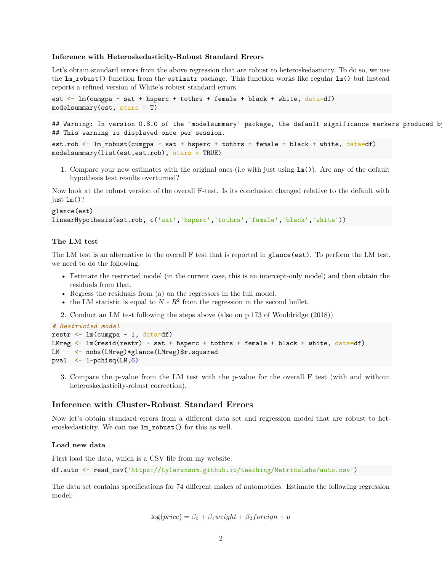#### **Inference with Heteroskedasticity-Robust Standard Errors**

Let's obtain standard errors from the above regression that are robust to heteroskedasticity. To do so, we use the lm\_robust() function from the estimatr package. This function works like regular lm() but instead reports a refined version of White's robust standard errors.

```
est <- lm(cumgpa ~ sat + hsperc + tothrs + female + black + white, data=df)
modelsummary(est, stars = T)
```
## Warning: In version 0.8.0 of the `modelsummary` package, the default significance markers produced b ## This warning is displayed once per session.

```
est.rob \leq 1m robust(cumgpa \sim sat + hsperc + tothrs + female + black + white, data=df)
modelsummary(list(est,est.rob), stars = TRUE)
```
1. Compare your new estimates with the original ones (i.e with just using lm()). Are any of the default hypothesis test results overturned?

Now look at the robust version of the overall F-test. Is its conclusion changed relative to the default with just  $lm()$ ?

```
glance(est)
linearHypothesis(est.rob, c('sat','hsperc','tothrs','female','black','white'))
```
#### **The LM test**

The LM test is an alternative to the overall F test that is reported in glance(est). To perform the LM test, we need to do the following:

- Estimate the restricted model (in the current case, this is an intercept-only model) and then obtain the residuals from that.
- Regress the residuals from (a) on the regressors in the full model.
- the LM statistic is equal to  $N * R^2$  from the regression in the second bullet.
- 2. Conduct an LM test following the steps above (also on p.173 of Wooldridge (2018))

```
# Restricted model
restr \leftarrow lm(cumgpa \sim 1, data=df)
LMreg \leq - \ln(\text{resid}(\text{restr}) \sim \text{sat} + \text{hsperc} + \text{tothrs} + \text{female} + \text{black} + \text{white}, \text{data=df})LM <- nobs(LMreg)*glance(LMreg)$r.squared
pval \leftarrow 1-pchisq(LM,6)
```
3. Compare the p-value from the LM test with the p-value for the overall F test (with and without heteroskedasticity-robust correction).

## **Inference with Cluster-Robust Standard Errors**

Now let's obtain standard errors from a different data set and regression model that are robust to heteroskedasticity. We can use lm\_robust() for this as well.

#### **Load new data**

First load the data, which is a CSV file from my website:

df.auto <- read\_csv('https://tyleransom.github.io/teaching/MetricsLabs/auto.csv')

The data set contains specifications for 74 different makes of automobiles. Estimate the following regression model:

 $\log(\text{price}) = \beta_0 + \beta_1 \text{weight} + \beta_2 \text{foreign} + u$